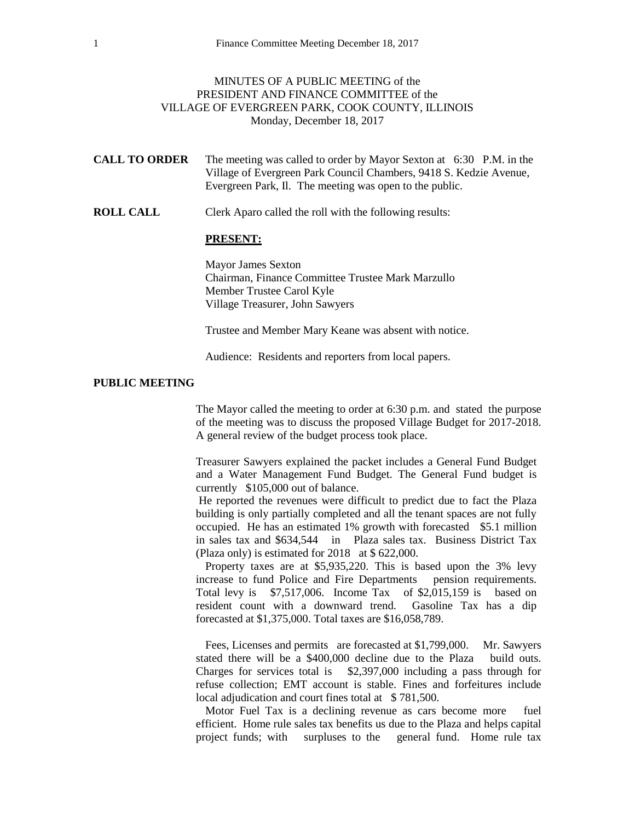## MINUTES OF A PUBLIC MEETING of the PRESIDENT AND FINANCE COMMITTEE of the VILLAGE OF EVERGREEN PARK, COOK COUNTY, ILLINOIS Monday, December 18, 2017

- **CALL TO ORDER** The meeting was called to order by Mayor Sexton at 6:30 P.M. in the Village of Evergreen Park Council Chambers, 9418 S. Kedzie Avenue, Evergreen Park, Il. The meeting was open to the public.
- **ROLL CALL** Clerk Aparo called the roll with the following results:

## **PRESENT:**

Mayor James Sexton Chairman, Finance Committee Trustee Mark Marzullo Member Trustee Carol Kyle Village Treasurer, John Sawyers

Trustee and Member Mary Keane was absent with notice.

Audience: Residents and reporters from local papers.

## **PUBLIC MEETING**

The Mayor called the meeting to order at 6:30 p.m. and stated the purpose of the meeting was to discuss the proposed Village Budget for 2017-2018. A general review of the budget process took place.

Treasurer Sawyers explained the packet includes a General Fund Budget and a Water Management Fund Budget. The General Fund budget is currently \$105,000 out of balance.

He reported the revenues were difficult to predict due to fact the Plaza building is only partially completed and all the tenant spaces are not fully occupied. He has an estimated 1% growth with forecasted \$5.1 million in sales tax and \$634,544 in Plaza sales tax. Business District Tax (Plaza only) is estimated for 2018 at \$ 622,000.

Property taxes are at \$5,935,220. This is based upon the 3% levy increase to fund Police and Fire Departments pension requirements. Total levy is \$7,517,006. Income Tax of \$2,015,159 is based on resident count with a downward trend. Gasoline Tax has a dip forecasted at \$1,375,000. Total taxes are \$16,058,789.

Fees, Licenses and permits are forecasted at \$1,799,000. Mr. Sawyers stated there will be a \$400,000 decline due to the Plaza build outs. Charges for services total is \$2,397,000 including a pass through for refuse collection; EMT account is stable. Fines and forfeitures include local adjudication and court fines total at \$781,500.

Motor Fuel Tax is a declining revenue as cars become more fuel efficient. Home rule sales tax benefits us due to the Plaza and helps capital project funds; with surpluses to the general fund. Home rule tax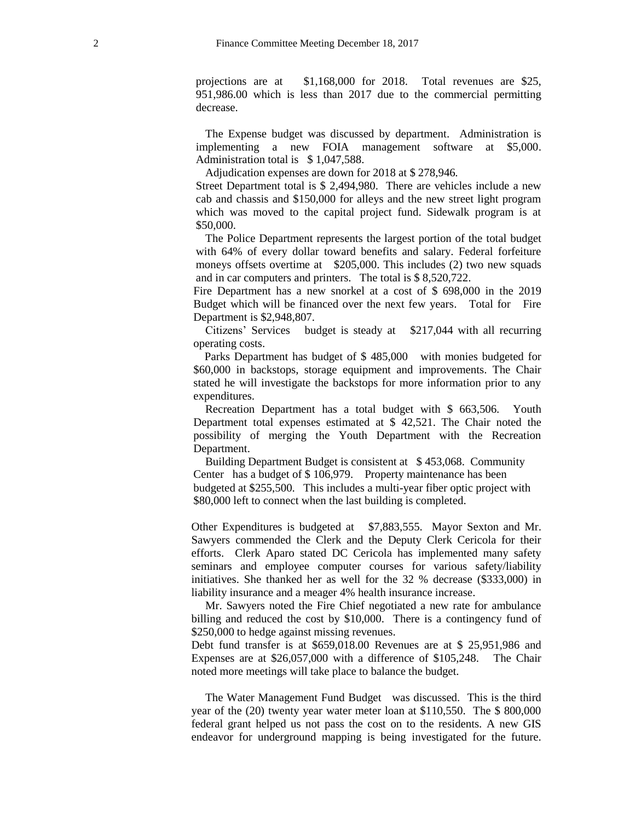projections are at \$1,168,000 for 2018. Total revenues are \$25, 951,986.00 which is less than 2017 due to the commercial permitting decrease.

The Expense budget was discussed by department. Administration is implementing a new FOIA management software at \$5,000. Administration total is \$1,047,588.

Adjudication expenses are down for 2018 at \$ 278,946.

Street Department total is \$ 2,494,980. There are vehicles include a new cab and chassis and \$150,000 for alleys and the new street light program which was moved to the capital project fund. Sidewalk program is at \$50,000.

The Police Department represents the largest portion of the total budget with 64% of every dollar toward benefits and salary. Federal forfeiture moneys offsets overtime at \$205,000. This includes (2) two new squads and in car computers and printers. The total is \$ 8,520,722.

Fire Department has a new snorkel at a cost of \$ 698,000 in the 2019 Budget which will be financed over the next few years. Total for Fire Department is \$2,948,807.

Citizens' Services budget is steady at \$217,044 with all recurring operating costs.

Parks Department has budget of \$ 485,000 with monies budgeted for \$60,000 in backstops, storage equipment and improvements. The Chair stated he will investigate the backstops for more information prior to any expenditures.

Recreation Department has a total budget with \$ 663,506. Youth Department total expenses estimated at \$ 42,521. The Chair noted the possibility of merging the Youth Department with the Recreation Department.

Building Department Budget is consistent at \$ 453,068. Community Center has a budget of \$ 106,979. Property maintenance has been budgeted at \$255,500. This includes a multi-year fiber optic project with \$80,000 left to connect when the last building is completed.

Other Expenditures is budgeted at \$7,883,555. Mayor Sexton and Mr. Sawyers commended the Clerk and the Deputy Clerk Cericola for their efforts. Clerk Aparo stated DC Cericola has implemented many safety seminars and employee computer courses for various safety/liability initiatives. She thanked her as well for the 32 % decrease (\$333,000) in liability insurance and a meager 4% health insurance increase.

Mr. Sawyers noted the Fire Chief negotiated a new rate for ambulance billing and reduced the cost by \$10,000. There is a contingency fund of \$250,000 to hedge against missing revenues.

Debt fund transfer is at \$659,018.00 Revenues are at \$ 25,951,986 and Expenses are at \$26,057,000 with a difference of \$105,248. The Chair noted more meetings will take place to balance the budget.

The Water Management Fund Budget was discussed. This is the third year of the (20) twenty year water meter loan at \$110,550. The \$ 800,000 federal grant helped us not pass the cost on to the residents. A new GIS endeavor for underground mapping is being investigated for the future.